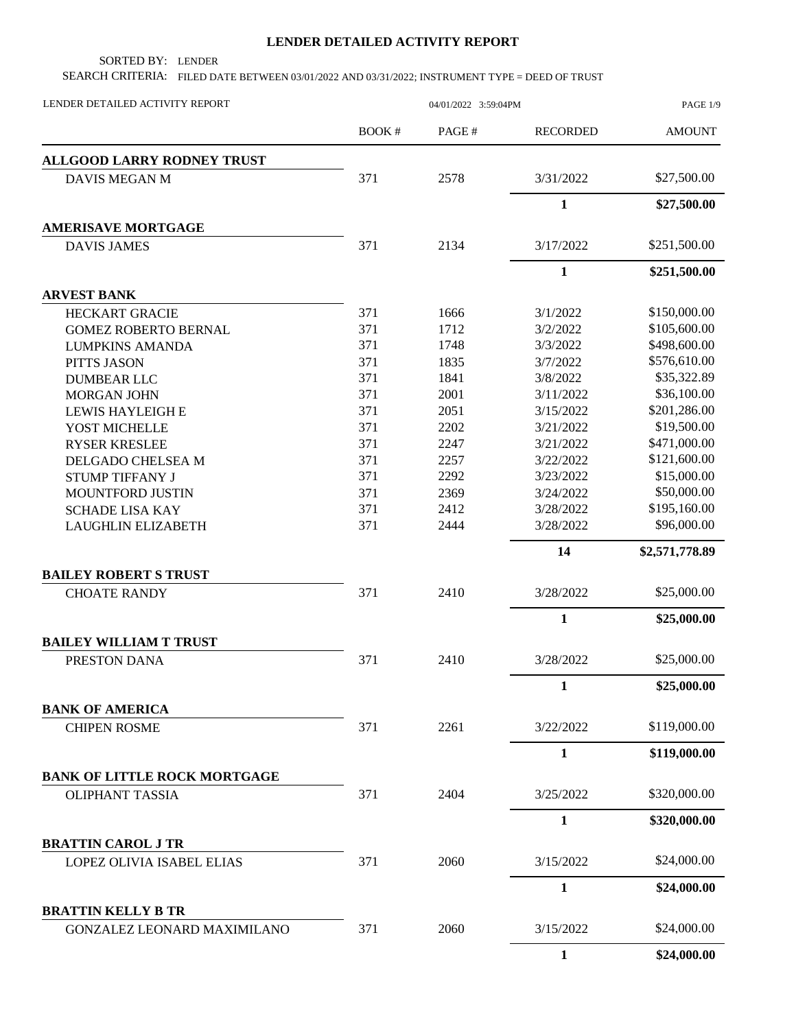## **LENDER DETAILED ACTIVITY REPORT**

SORTED BY: LENDER

SEARCH CRITERIA: FILED DATE BETWEEN 03/01/2022 AND 03/31/2022; INSTRUMENT TYPE = DEED OF TRUST

| LENDER DETAILED ACTIVITY REPORT                          |       | PAGE 1/9 |                 |                |
|----------------------------------------------------------|-------|----------|-----------------|----------------|
|                                                          | BOOK# | PAGE#    | <b>RECORDED</b> | <b>AMOUNT</b>  |
| <b>ALLGOOD LARRY RODNEY TRUST</b>                        |       |          |                 |                |
| <b>DAVIS MEGAN M</b>                                     | 371   | 2578     | 3/31/2022       | \$27,500.00    |
|                                                          |       |          | $\mathbf{1}$    | \$27,500.00    |
| <b>AMERISAVE MORTGAGE</b>                                |       |          |                 |                |
| <b>DAVIS JAMES</b>                                       | 371   | 2134     | 3/17/2022       | \$251,500.00   |
|                                                          |       |          | $\mathbf{1}$    | \$251,500.00   |
| <b>ARVEST BANK</b>                                       |       |          |                 |                |
| <b>HECKART GRACIE</b>                                    | 371   | 1666     | 3/1/2022        | \$150,000.00   |
| <b>GOMEZ ROBERTO BERNAL</b>                              | 371   | 1712     | 3/2/2022        | \$105,600.00   |
| <b>LUMPKINS AMANDA</b>                                   | 371   | 1748     | 3/3/2022        | \$498,600.00   |
| PITTS JASON                                              | 371   | 1835     | 3/7/2022        | \$576,610.00   |
| <b>DUMBEAR LLC</b>                                       | 371   | 1841     | 3/8/2022        | \$35,322.89    |
| <b>MORGAN JOHN</b>                                       | 371   | 2001     | 3/11/2022       | \$36,100.00    |
| LEWIS HAYLEIGH E                                         | 371   | 2051     | 3/15/2022       | \$201,286.00   |
| YOST MICHELLE                                            | 371   | 2202     | 3/21/2022       | \$19,500.00    |
| <b>RYSER KRESLEE</b>                                     | 371   | 2247     | 3/21/2022       | \$471,000.00   |
| DELGADO CHELSEA M                                        | 371   | 2257     | 3/22/2022       | \$121,600.00   |
| <b>STUMP TIFFANY J</b>                                   | 371   | 2292     | 3/23/2022       | \$15,000.00    |
| MOUNTFORD JUSTIN                                         | 371   | 2369     | 3/24/2022       | \$50,000.00    |
| <b>SCHADE LISA KAY</b>                                   | 371   | 2412     | 3/28/2022       | \$195,160.00   |
| <b>LAUGHLIN ELIZABETH</b>                                | 371   | 2444     | 3/28/2022       | \$96,000.00    |
|                                                          |       |          | 14              | \$2,571,778.89 |
| <b>BAILEY ROBERT S TRUST</b>                             |       |          |                 |                |
| <b>CHOATE RANDY</b>                                      | 371   | 2410     | 3/28/2022       | \$25,000.00    |
|                                                          |       |          | $\mathbf{1}$    | \$25,000.00    |
| <b>BAILEY WILLIAM T TRUST</b>                            |       |          |                 |                |
| PRESTON DANA                                             | 371   | 2410     | 3/28/2022       | \$25,000.00    |
|                                                          |       |          | $\mathbf{1}$    | \$25,000.00    |
| <b>BANK OF AMERICA</b>                                   |       |          |                 |                |
| <b>CHIPEN ROSME</b>                                      | 371   | 2261     | 3/22/2022       | \$119,000.00   |
|                                                          |       |          | $\mathbf{1}$    | \$119,000.00   |
| <b>BANK OF LITTLE ROCK MORTGAGE</b>                      |       |          |                 |                |
| <b>OLIPHANT TASSIA</b>                                   | 371   | 2404     | 3/25/2022       | \$320,000.00   |
|                                                          |       |          | $\mathbf{1}$    | \$320,000.00   |
| <b>BRATTIN CAROL J TR</b>                                |       |          |                 |                |
| LOPEZ OLIVIA ISABEL ELIAS                                | 371   | 2060     | 3/15/2022       | \$24,000.00    |
|                                                          |       |          | 1               | \$24,000.00    |
| <b>BRATTIN KELLY B TR</b><br>GONZALEZ LEONARD MAXIMILANO | 371   | 2060     | 3/15/2022       | \$24,000.00    |
|                                                          |       |          |                 |                |
|                                                          |       |          | 1               | \$24,000.00    |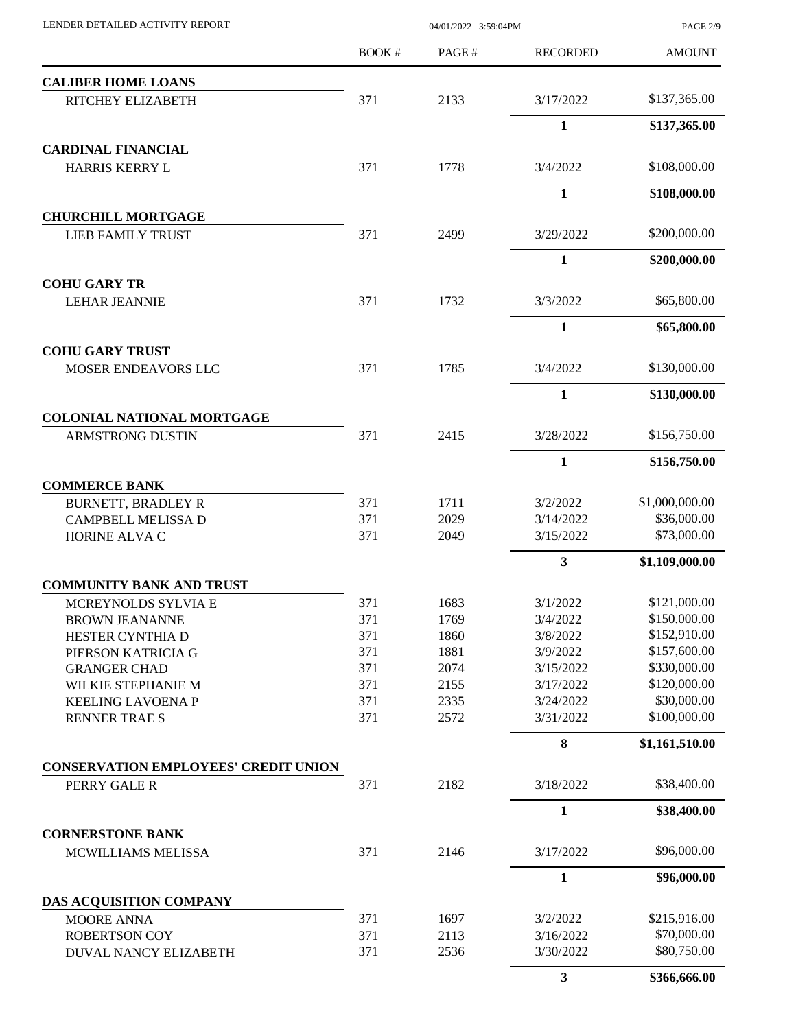| LENDER DETAILED ACTIVITY REPORT                       |        | PAGE 2/9 |                 |                |
|-------------------------------------------------------|--------|----------|-----------------|----------------|
|                                                       | BOOK # | PAGE#    | <b>RECORDED</b> | <b>AMOUNT</b>  |
| <b>CALIBER HOME LOANS</b>                             |        |          |                 |                |
| RITCHEY ELIZABETH                                     | 371    | 2133     | 3/17/2022       | \$137,365.00   |
|                                                       |        |          | $\mathbf{1}$    | \$137,365.00   |
| <b>CARDINAL FINANCIAL</b><br><b>HARRIS KERRY L</b>    | 371    | 1778     | 3/4/2022        | \$108,000.00   |
|                                                       |        |          |                 |                |
|                                                       |        |          | $\mathbf{1}$    | \$108,000.00   |
| <b>CHURCHILL MORTGAGE</b><br><b>LIEB FAMILY TRUST</b> | 371    | 2499     | 3/29/2022       | \$200,000.00   |
|                                                       |        |          | 1               | \$200,000.00   |
| <b>COHU GARY TR</b>                                   |        |          |                 |                |
| <b>LEHAR JEANNIE</b>                                  | 371    | 1732     | 3/3/2022        | \$65,800.00    |
|                                                       |        |          | 1               | \$65,800.00    |
| <b>COHU GARY TRUST</b>                                |        |          |                 |                |
| MOSER ENDEAVORS LLC                                   | 371    | 1785     | 3/4/2022        | \$130,000.00   |
|                                                       |        |          | $\mathbf{1}$    | \$130,000.00   |
| <b>COLONIAL NATIONAL MORTGAGE</b>                     |        |          |                 |                |
| <b>ARMSTRONG DUSTIN</b>                               | 371    | 2415     | 3/28/2022       | \$156,750.00   |
|                                                       |        |          | 1               | \$156,750.00   |
| <b>COMMERCE BANK</b>                                  |        |          |                 |                |
| <b>BURNETT, BRADLEY R</b>                             | 371    | 1711     | 3/2/2022        | \$1,000,000.00 |
| CAMPBELL MELISSA D                                    | 371    | 2029     | 3/14/2022       | \$36,000.00    |
| HORINE ALVA C                                         | 371    | 2049     | 3/15/2022       | \$73,000.00    |
|                                                       |        |          | $\mathbf{3}$    | \$1,109,000.00 |
| <b>COMMUNITY BANK AND TRUST</b>                       |        |          |                 |                |
| MCREYNOLDS SYLVIA E                                   | 371    | 1683     | 3/1/2022        | \$121,000.00   |
| <b>BROWN JEANANNE</b>                                 | 371    | 1769     | 3/4/2022        | \$150,000.00   |
| HESTER CYNTHIA D                                      | 371    | 1860     | 3/8/2022        | \$152,910.00   |
| PIERSON KATRICIA G                                    | 371    | 1881     | 3/9/2022        | \$157,600.00   |
| <b>GRANGER CHAD</b>                                   | 371    | 2074     | 3/15/2022       | \$330,000.00   |
| WILKIE STEPHANIE M                                    | 371    | 2155     | 3/17/2022       | \$120,000.00   |
| <b>KEELING LAVOENA P</b>                              | 371    | 2335     | 3/24/2022       | \$30,000.00    |
| <b>RENNER TRAE S</b>                                  | 371    | 2572     | 3/31/2022       | \$100,000.00   |
|                                                       |        |          | $\bf{8}$        | \$1,161,510.00 |
| <b>CONSERVATION EMPLOYEES' CREDIT UNION</b>           |        | 2182     | 3/18/2022       | \$38,400.00    |
| PERRY GALE R                                          | 371    |          |                 |                |
|                                                       |        |          | 1               | \$38,400.00    |
| <b>CORNERSTONE BANK</b><br>MCWILLIAMS MELISSA         | 371    | 2146     | 3/17/2022       | \$96,000.00    |
|                                                       |        |          | $\mathbf{1}$    | \$96,000.00    |
| DAS ACQUISITION COMPANY                               |        |          |                 |                |
| MOORE ANNA                                            | 371    | 1697     | 3/2/2022        | \$215,916.00   |
| <b>ROBERTSON COY</b>                                  | 371    | 2113     | 3/16/2022       | \$70,000.00    |
| DUVAL NANCY ELIZABETH                                 | 371    | 2536     | 3/30/2022       | \$80,750.00    |
|                                                       |        |          | $\mathbf{3}$    | \$366,666.00   |
|                                                       |        |          |                 |                |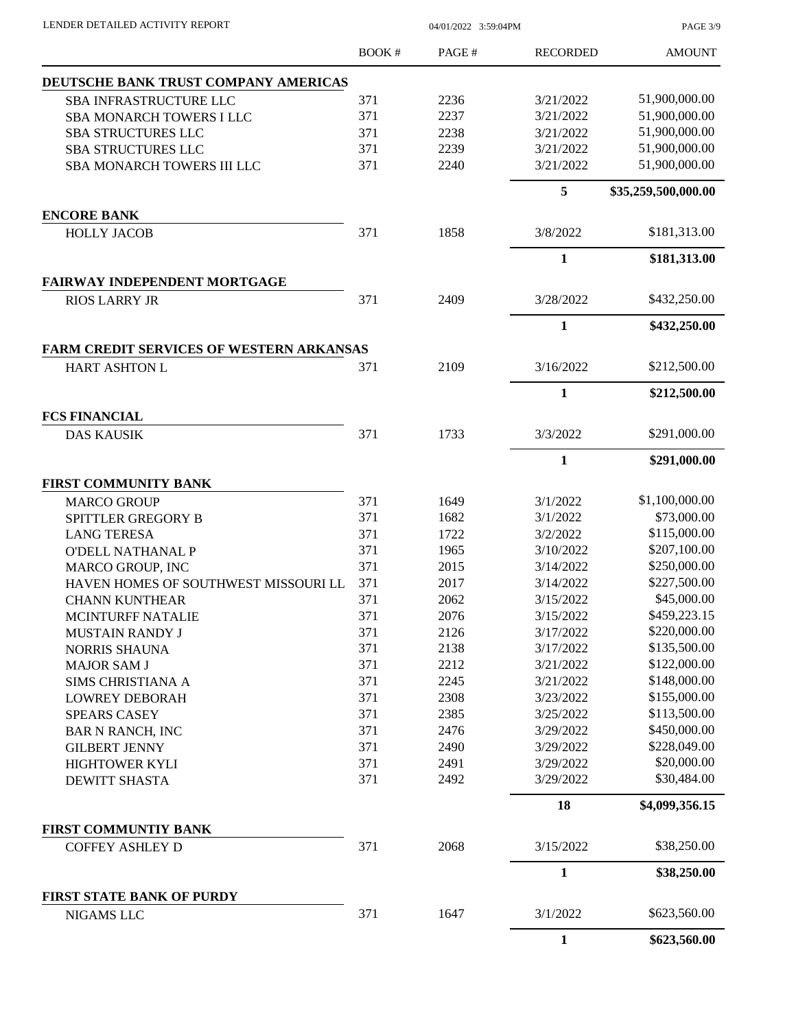PAGE 3/9

|                                                 | <b>BOOK#</b> | PAGE# | <b>RECORDED</b> | <b>AMOUNT</b>       |
|-------------------------------------------------|--------------|-------|-----------------|---------------------|
| DEUTSCHE BANK TRUST COMPANY AMERICAS            |              |       |                 |                     |
| <b>SBA INFRASTRUCTURE LLC</b>                   | 371          | 2236  | 3/21/2022       | 51,900,000.00       |
| <b>SBA MONARCH TOWERS I LLC</b>                 | 371          | 2237  | 3/21/2022       | 51,900,000.00       |
| <b>SBA STRUCTURES LLC</b>                       | 371          | 2238  | 3/21/2022       | 51,900,000.00       |
| <b>SBA STRUCTURES LLC</b>                       | 371          | 2239  | 3/21/2022       | 51,900,000.00       |
| SBA MONARCH TOWERS III LLC                      | 371          | 2240  | 3/21/2022       | 51,900,000.00       |
|                                                 |              |       | 5               | \$35,259,500,000.00 |
| <b>ENCORE BANK</b>                              |              |       |                 |                     |
| <b>HOLLY JACOB</b>                              | 371          | 1858  | 3/8/2022        | \$181,313.00        |
|                                                 |              |       | $\mathbf{1}$    | \$181,313.00        |
| FAIRWAY INDEPENDENT MORTGAGE                    |              |       |                 |                     |
| <b>RIOS LARRY JR</b>                            | 371          | 2409  | 3/28/2022       | \$432,250.00        |
|                                                 |              |       | 1               | \$432,250.00        |
| <b>FARM CREDIT SERVICES OF WESTERN ARKANSAS</b> |              |       |                 |                     |
| <b>HART ASHTON L</b>                            | 371          | 2109  | 3/16/2022       | \$212,500.00        |
|                                                 |              |       | $\mathbf{1}$    | \$212,500.00        |
| <b>FCS FINANCIAL</b><br><b>DAS KAUSIK</b>       | 371          | 1733  | 3/3/2022        | \$291,000.00        |
|                                                 |              |       | 1               | \$291,000.00        |
| <b>FIRST COMMUNITY BANK</b>                     |              |       |                 |                     |
| <b>MARCO GROUP</b>                              | 371          | 1649  | 3/1/2022        | \$1,100,000.00      |
| SPITTLER GREGORY B                              | 371          | 1682  | 3/1/2022        | \$73,000.00         |
| <b>LANG TERESA</b>                              | 371          | 1722  | 3/2/2022        | \$115,000.00        |
| <b>O'DELL NATHANAL P</b>                        | 371          | 1965  | 3/10/2022       | \$207,100.00        |
| MARCO GROUP, INC                                | 371          | 2015  | 3/14/2022       | \$250,000.00        |
| HAVEN HOMES OF SOUTHWEST MISSOURI LL            | 371          | 2017  | 3/14/2022       | \$227,500.00        |
| <b>CHANN KUNTHEAR</b>                           | 371          | 2062  | 3/15/2022       | \$45,000.00         |
| <b>MCINTURFF NATALIE</b>                        | 371          | 2076  | 3/15/2022       | \$459,223.15        |
| <b>MUSTAIN RANDY J</b>                          | 371          | 2126  | 3/17/2022       | \$220,000.00        |
| <b>NORRIS SHAUNA</b>                            | 371          | 2138  | 3/17/2022       | \$135,500.00        |
| <b>MAJOR SAM J</b>                              | 371          | 2212  | 3/21/2022       | \$122,000.00        |
| SIMS CHRISTIANA A                               | 371          | 2245  | 3/21/2022       | \$148,000.00        |
| <b>LOWREY DEBORAH</b>                           | 371          | 2308  | 3/23/2022       | \$155,000.00        |
| <b>SPEARS CASEY</b>                             | 371          | 2385  | 3/25/2022       | \$113,500.00        |
| <b>BAR N RANCH, INC</b>                         | 371          | 2476  | 3/29/2022       | \$450,000.00        |
| <b>GILBERT JENNY</b>                            | 371          | 2490  | 3/29/2022       | \$228,049.00        |
| HIGHTOWER KYLI                                  | 371          | 2491  | 3/29/2022       | \$20,000.00         |
| <b>DEWITT SHASTA</b>                            | 371          | 2492  | 3/29/2022       | \$30,484.00         |
|                                                 |              |       | 18              | \$4,099,356.15      |
| FIRST COMMUNTIY BANK                            |              |       |                 |                     |
| <b>COFFEY ASHLEY D</b>                          | 371          | 2068  | 3/15/2022       | \$38,250.00         |
|                                                 |              |       | 1               | \$38,250.00         |
| <b>FIRST STATE BANK OF PURDY</b>                |              |       |                 |                     |
| NIGAMS LLC                                      | 371          | 1647  | 3/1/2022        | \$623,560.00        |
|                                                 |              |       | $\mathbf{1}$    | \$623,560.00        |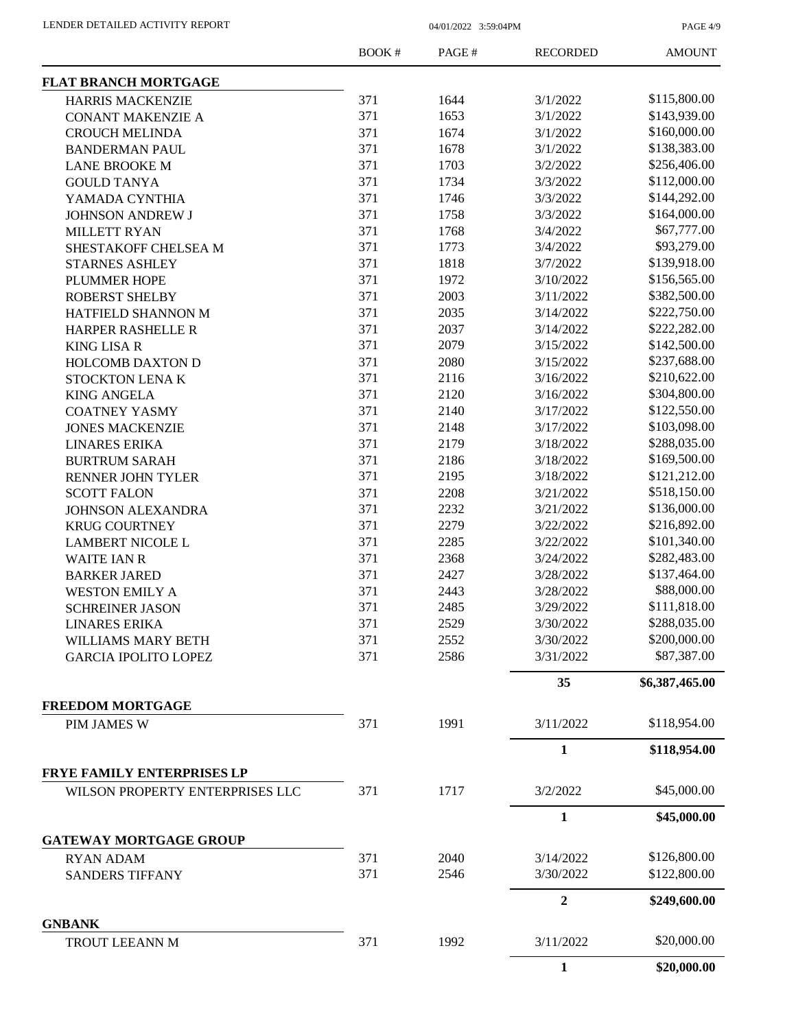PAGE 4/9

|                                               | <b>BOOK#</b> | PAGE# | <b>RECORDED</b> | <b>AMOUNT</b>  |
|-----------------------------------------------|--------------|-------|-----------------|----------------|
| <b>FLAT BRANCH MORTGAGE</b>                   |              |       |                 |                |
| <b>HARRIS MACKENZIE</b>                       | 371          | 1644  | 3/1/2022        | \$115,800.00   |
| <b>CONANT MAKENZIE A</b>                      | 371          | 1653  | 3/1/2022        | \$143,939.00   |
| <b>CROUCH MELINDA</b>                         | 371          | 1674  | 3/1/2022        | \$160,000.00   |
| <b>BANDERMAN PAUL</b>                         | 371          | 1678  | 3/1/2022        | \$138,383.00   |
| <b>LANE BROOKE M</b>                          | 371          | 1703  | 3/2/2022        | \$256,406.00   |
| <b>GOULD TANYA</b>                            | 371          | 1734  | 3/3/2022        | \$112,000.00   |
| YAMADA CYNTHIA                                | 371          | 1746  | 3/3/2022        | \$144,292.00   |
| <b>JOHNSON ANDREW J</b>                       | 371          | 1758  | 3/3/2022        | \$164,000.00   |
| <b>MILLETT RYAN</b>                           | 371          | 1768  | 3/4/2022        | \$67,777.00    |
| SHESTAKOFF CHELSEA M                          | 371          | 1773  | 3/4/2022        | \$93,279.00    |
| <b>STARNES ASHLEY</b>                         | 371          | 1818  | 3/7/2022        | \$139,918.00   |
| PLUMMER HOPE                                  | 371          | 1972  | 3/10/2022       | \$156,565.00   |
| <b>ROBERST SHELBY</b>                         | 371          | 2003  | 3/11/2022       | \$382,500.00   |
| HATFIELD SHANNON M                            | 371          | 2035  | 3/14/2022       | \$222,750.00   |
| HARPER RASHELLE R                             | 371          | 2037  | 3/14/2022       | \$222,282.00   |
| <b>KING LISA R</b>                            | 371          | 2079  | 3/15/2022       | \$142,500.00   |
| <b>HOLCOMB DAXTON D</b>                       | 371          | 2080  | 3/15/2022       | \$237,688.00   |
| STOCKTON LENAK                                | 371          | 2116  | 3/16/2022       | \$210,622.00   |
| <b>KING ANGELA</b>                            | 371          | 2120  | 3/16/2022       | \$304,800.00   |
| <b>COATNEY YASMY</b>                          | 371          | 2140  | 3/17/2022       | \$122,550.00   |
| <b>JONES MACKENZIE</b>                        | 371          | 2148  | 3/17/2022       | \$103,098.00   |
| <b>LINARES ERIKA</b>                          | 371          | 2179  | 3/18/2022       | \$288,035.00   |
| <b>BURTRUM SARAH</b>                          | 371          | 2186  | 3/18/2022       | \$169,500.00   |
| RENNER JOHN TYLER                             | 371          | 2195  | 3/18/2022       | \$121,212.00   |
| <b>SCOTT FALON</b>                            | 371          | 2208  | 3/21/2022       | \$518,150.00   |
| <b>JOHNSON ALEXANDRA</b>                      | 371          | 2232  | 3/21/2022       | \$136,000.00   |
| <b>KRUG COURTNEY</b>                          | 371          | 2279  | 3/22/2022       | \$216,892.00   |
| <b>LAMBERT NICOLE L</b>                       | 371          | 2285  | 3/22/2022       | \$101,340.00   |
| <b>WAITE IAN R</b>                            | 371          | 2368  | 3/24/2022       | \$282,483.00   |
| <b>BARKER JARED</b>                           | 371          | 2427  | 3/28/2022       | \$137,464.00   |
| <b>WESTON EMILY A</b>                         | 371          | 2443  | 3/28/2022       | \$88,000.00    |
| <b>SCHREINER JASON</b>                        | 371          | 2485  | 3/29/2022       | \$111,818.00   |
| <b>LINARES ERIKA</b>                          | 371          | 2529  | 3/30/2022       | \$288,035.00   |
| WILLIAMS MARY BETH                            | 371          | 2552  | 3/30/2022       | \$200,000.00   |
| <b>GARCIA IPOLITO LOPEZ</b>                   | 371          | 2586  | 3/31/2022       | \$87,387.00    |
|                                               |              |       |                 |                |
|                                               |              |       | 35              | \$6,387,465.00 |
| <b>FREEDOM MORTGAGE</b><br><b>PIM JAMES W</b> | 371          | 1991  | 3/11/2022       | \$118,954.00   |
|                                               |              |       | $\mathbf{1}$    | \$118,954.00   |
| FRYE FAMILY ENTERPRISES LP                    |              |       |                 |                |
| WILSON PROPERTY ENTERPRISES LLC               | 371          | 1717  | 3/2/2022        | \$45,000.00    |
|                                               |              |       | $\mathbf{1}$    | \$45,000.00    |
| <b>GATEWAY MORTGAGE GROUP</b>                 |              |       |                 |                |
| <b>RYAN ADAM</b>                              | 371          | 2040  | 3/14/2022       | \$126,800.00   |
| <b>SANDERS TIFFANY</b>                        | 371          | 2546  | 3/30/2022       | \$122,800.00   |
|                                               |              |       | $\overline{2}$  | \$249,600.00   |
| <b>GNBANK</b>                                 |              |       |                 | \$20,000.00    |
| TROUT LEEANN M                                | 371          | 1992  | 3/11/2022       |                |
|                                               |              |       | 1               | \$20,000.00    |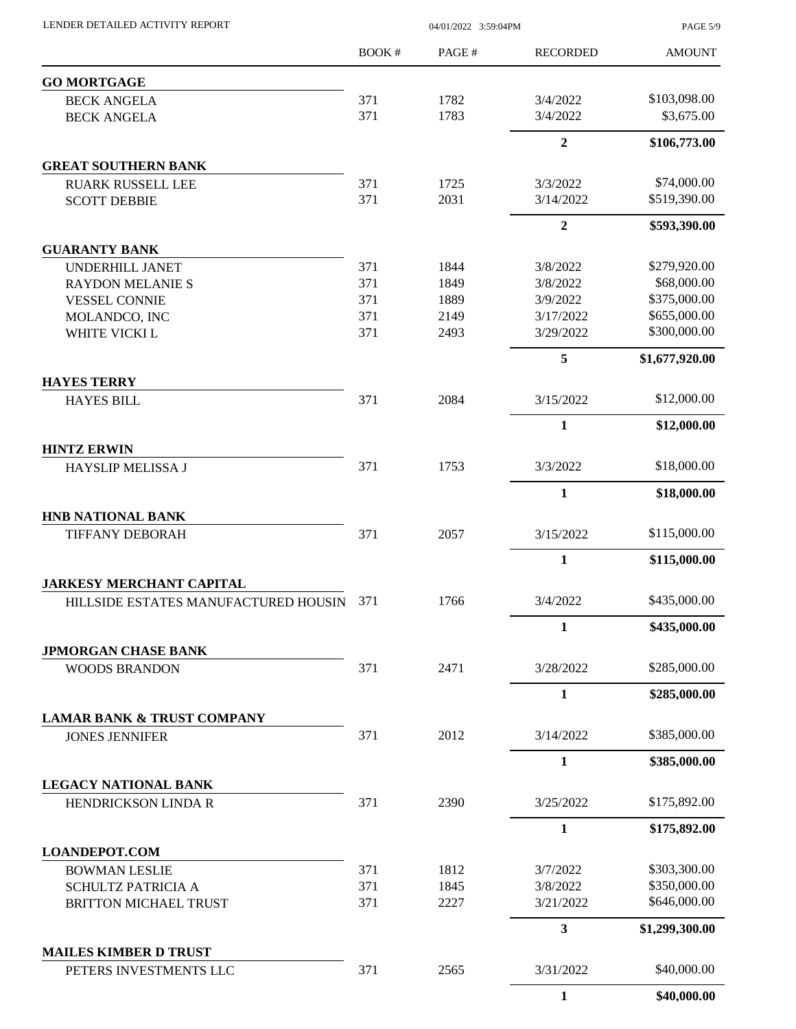| LENDER DETAILED ACTIVITY REPORT                                         |            | <b>PAGE 5/9</b> |                       |                             |
|-------------------------------------------------------------------------|------------|-----------------|-----------------------|-----------------------------|
|                                                                         | BOOK #     | PAGE#           | <b>RECORDED</b>       | <b>AMOUNT</b>               |
| <b>GO MORTGAGE</b>                                                      |            |                 |                       |                             |
| <b>BECK ANGELA</b>                                                      | 371        | 1782            | 3/4/2022              | \$103,098.00                |
| <b>BECK ANGELA</b>                                                      | 371        | 1783            | 3/4/2022              | \$3,675.00                  |
|                                                                         |            |                 | $\overline{2}$        | \$106,773.00                |
| <b>GREAT SOUTHERN BANK</b>                                              |            |                 |                       |                             |
| <b>RUARK RUSSELL LEE</b>                                                | 371        | 1725            | 3/3/2022              | \$74,000.00                 |
| <b>SCOTT DEBBIE</b>                                                     | 371        | 2031            | 3/14/2022             | \$519,390.00                |
|                                                                         |            |                 | $\overline{2}$        | \$593,390.00                |
| <b>GUARANTY BANK</b>                                                    |            |                 |                       |                             |
| UNDERHILL JANET                                                         | 371        | 1844            | 3/8/2022              | \$279,920.00<br>\$68,000.00 |
| <b>RAYDON MELANIE S</b>                                                 | 371<br>371 | 1849            | 3/8/2022              | \$375,000.00                |
| <b>VESSEL CONNIE</b>                                                    | 371        | 1889            | 3/9/2022<br>3/17/2022 | \$655,000.00                |
| MOLANDCO, INC                                                           |            | 2149            |                       |                             |
| WHITE VICKI L                                                           | 371        | 2493            | 3/29/2022             | \$300,000.00                |
|                                                                         |            |                 | 5                     | \$1,677,920.00              |
| <b>HAYES TERRY</b><br><b>HAYES BILL</b>                                 | 371        | 2084            | 3/15/2022             | \$12,000.00                 |
|                                                                         |            |                 | 1                     | \$12,000.00                 |
| <b>HINTZ ERWIN</b>                                                      |            |                 |                       |                             |
| HAYSLIP MELISSA J                                                       | 371        | 1753            | 3/3/2022              | \$18,000.00                 |
|                                                                         |            |                 | 1                     | \$18,000.00                 |
| <b>HNB NATIONAL BANK</b>                                                |            |                 |                       |                             |
| <b>TIFFANY DEBORAH</b>                                                  | 371        | 2057            | 3/15/2022             | \$115,000.00                |
|                                                                         |            |                 | $\mathbf{1}$          | \$115,000.00                |
| <b>JARKESY MERCHANT CAPITAL</b><br>HILLSIDE ESTATES MANUFACTURED HOUSIN | 371        | 1766            | 3/4/2022              | \$435,000.00                |
|                                                                         |            |                 |                       |                             |
|                                                                         |            |                 | 1                     | \$435,000.00                |
| <b>JPMORGAN CHASE BANK</b><br><b>WOODS BRANDON</b>                      | 371        | 2471            | 3/28/2022             | \$285,000.00                |
|                                                                         |            |                 | $\mathbf{1}$          | \$285,000.00                |
| <b>LAMAR BANK &amp; TRUST COMPANY</b>                                   |            |                 |                       |                             |
| <b>JONES JENNIFER</b>                                                   | 371        | 2012            | 3/14/2022             | \$385,000.00                |
|                                                                         |            |                 | 1                     | \$385,000.00                |
| LEGACY NATIONAL BANK                                                    |            |                 |                       |                             |
| HENDRICKSON LINDA R                                                     | 371        | 2390            | 3/25/2022             | \$175,892.00                |
|                                                                         |            |                 | 1                     | \$175,892.00                |
| <b>LOANDEPOT.COM</b>                                                    |            |                 |                       |                             |
| <b>BOWMAN LESLIE</b>                                                    | 371        | 1812            | 3/7/2022              | \$303,300.00                |
| SCHULTZ PATRICIA A                                                      | 371        | 1845            | 3/8/2022              | \$350,000.00                |
| <b>BRITTON MICHAEL TRUST</b>                                            | 371        | 2227            | 3/21/2022             | \$646,000.00                |
|                                                                         |            |                 | 3                     | \$1,299,300.00              |
| <b>MAILES KIMBER D TRUST</b><br>PETERS INVESTMENTS LLC                  | 371        | 2565            | 3/31/2022             | \$40,000.00                 |
|                                                                         |            |                 | 1                     | \$40,000.00                 |
|                                                                         |            |                 |                       |                             |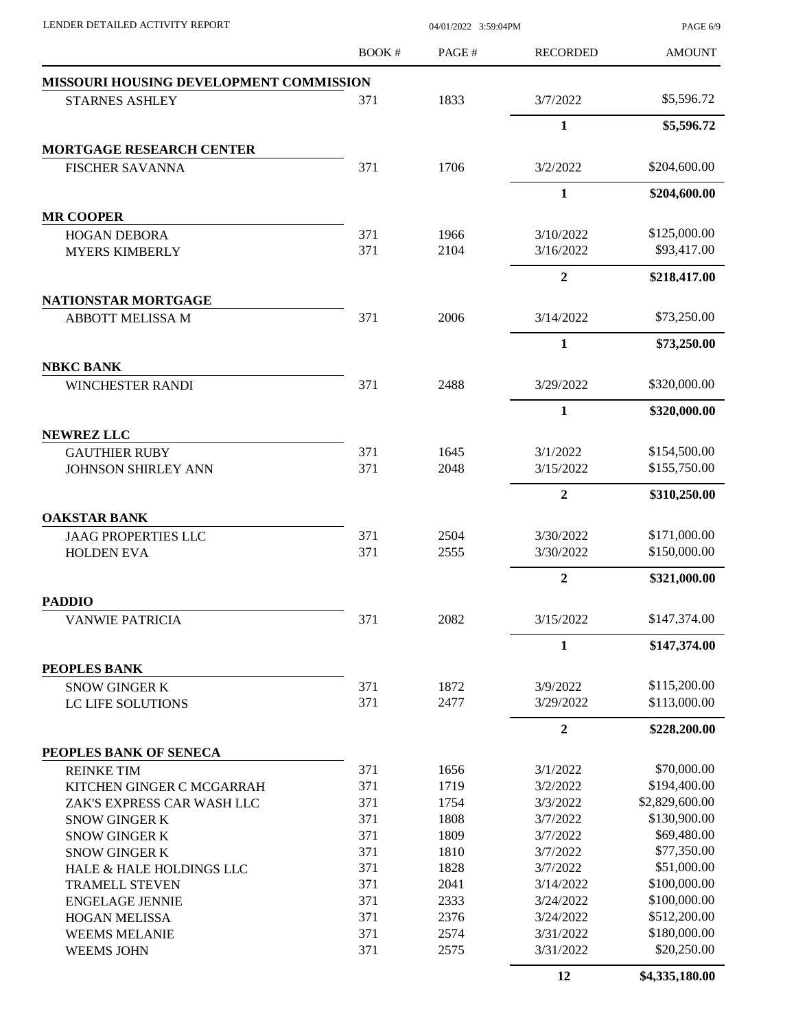| LENDER DETAILED ACTIVITY REPORT                    |              | 04/01/2022 3:59:04PM |                       |                              |
|----------------------------------------------------|--------------|----------------------|-----------------------|------------------------------|
|                                                    | <b>BOOK#</b> | PAGE#                | <b>RECORDED</b>       | <b>AMOUNT</b>                |
| MISSOURI HOUSING DEVELOPMENT COMMISSION            |              |                      |                       |                              |
| <b>STARNES ASHLEY</b>                              | 371          | 1833                 | 3/7/2022              | \$5,596.72                   |
|                                                    |              |                      | 1                     | \$5,596.72                   |
| <b>MORTGAGE RESEARCH CENTER</b>                    |              |                      |                       |                              |
| <b>FISCHER SAVANNA</b>                             | 371          | 1706                 | 3/2/2022              | \$204,600.00                 |
|                                                    |              |                      | $\mathbf{1}$          | \$204,600.00                 |
| <b>MR COOPER</b>                                   |              |                      |                       |                              |
| <b>HOGAN DEBORA</b>                                | 371          | 1966                 | 3/10/2022             | \$125,000.00                 |
| <b>MYERS KIMBERLY</b>                              | 371          | 2104                 | 3/16/2022             | \$93,417.00                  |
|                                                    |              |                      | $\mathbf{2}$          | \$218,417.00                 |
| NATIONSTAR MORTGAGE                                |              |                      |                       |                              |
| <b>ABBOTT MELISSA M</b>                            | 371          | 2006                 | 3/14/2022             | \$73,250.00                  |
|                                                    |              |                      | $\mathbf{1}$          | \$73,250.00                  |
| <b>NBKC BANK</b>                                   |              |                      |                       |                              |
| <b>WINCHESTER RANDI</b>                            | 371          | 2488                 | 3/29/2022             | \$320,000.00                 |
|                                                    |              |                      | 1                     | \$320,000.00                 |
| <b>NEWREZ LLC</b>                                  |              |                      |                       |                              |
| <b>GAUTHIER RUBY</b><br><b>JOHNSON SHIRLEY ANN</b> | 371<br>371   | 1645<br>2048         | 3/1/2022<br>3/15/2022 | \$154,500.00<br>\$155,750.00 |
|                                                    |              |                      |                       |                              |
|                                                    |              |                      | $\mathbf{2}$          | \$310,250.00                 |
| <b>OAKSTAR BANK</b><br><b>JAAG PROPERTIES LLC</b>  | 371          | 2504                 | 3/30/2022             | \$171,000.00                 |
| <b>HOLDEN EVA</b>                                  | 371          | 2555                 | 3/30/2022             | \$150,000.00                 |
|                                                    |              |                      | $\boldsymbol{2}$      | \$321,000.00                 |
| <b>PADDIO</b>                                      |              |                      |                       |                              |
| <b>VANWIE PATRICIA</b>                             | 371          | 2082                 | 3/15/2022             | \$147,374.00                 |
|                                                    |              |                      | 1                     | \$147,374.00                 |
| PEOPLES BANK                                       |              |                      |                       |                              |
| <b>SNOW GINGER K</b>                               | 371          | 1872                 | 3/9/2022              | \$115,200.00                 |
| LC LIFE SOLUTIONS                                  | 371          | 2477                 | 3/29/2022             | \$113,000.00                 |
|                                                    |              |                      | $\boldsymbol{2}$      | \$228,200.00                 |
| PEOPLES BANK OF SENECA                             |              |                      |                       |                              |
| <b>REINKE TIM</b>                                  | 371          | 1656                 | 3/1/2022              | \$70,000.00                  |
| KITCHEN GINGER C MCGARRAH                          | 371          | 1719                 | 3/2/2022              | \$194,400.00                 |
| ZAK'S EXPRESS CAR WASH LLC                         | 371          | 1754                 | 3/3/2022              | \$2,829,600.00               |
| <b>SNOW GINGER K</b>                               | 371          | 1808                 | 3/7/2022              | \$130,900.00                 |
| <b>SNOW GINGER K</b>                               | 371          | 1809                 | 3/7/2022              | \$69,480.00                  |
| <b>SNOW GINGER K</b>                               | 371          | 1810                 | 3/7/2022              | \$77,350.00                  |
| HALE & HALE HOLDINGS LLC                           | 371          | 1828                 | 3/7/2022              | \$51,000.00                  |
| <b>TRAMELL STEVEN</b>                              | 371          | 2041                 | 3/14/2022             | \$100,000.00                 |
| <b>ENGELAGE JENNIE</b>                             | 371          | 2333                 | 3/24/2022             | \$100,000.00                 |
| <b>HOGAN MELISSA</b>                               | 371          | 2376                 | 3/24/2022             | \$512,200.00                 |
| <b>WEEMS MELANIE</b>                               | 371          | 2574                 | 3/31/2022             | \$180,000.00                 |
| <b>WEEMS JOHN</b>                                  | 371          | 2575                 | 3/31/2022             | \$20,250.00                  |
|                                                    |              |                      | 12                    | \$4,335,180.00               |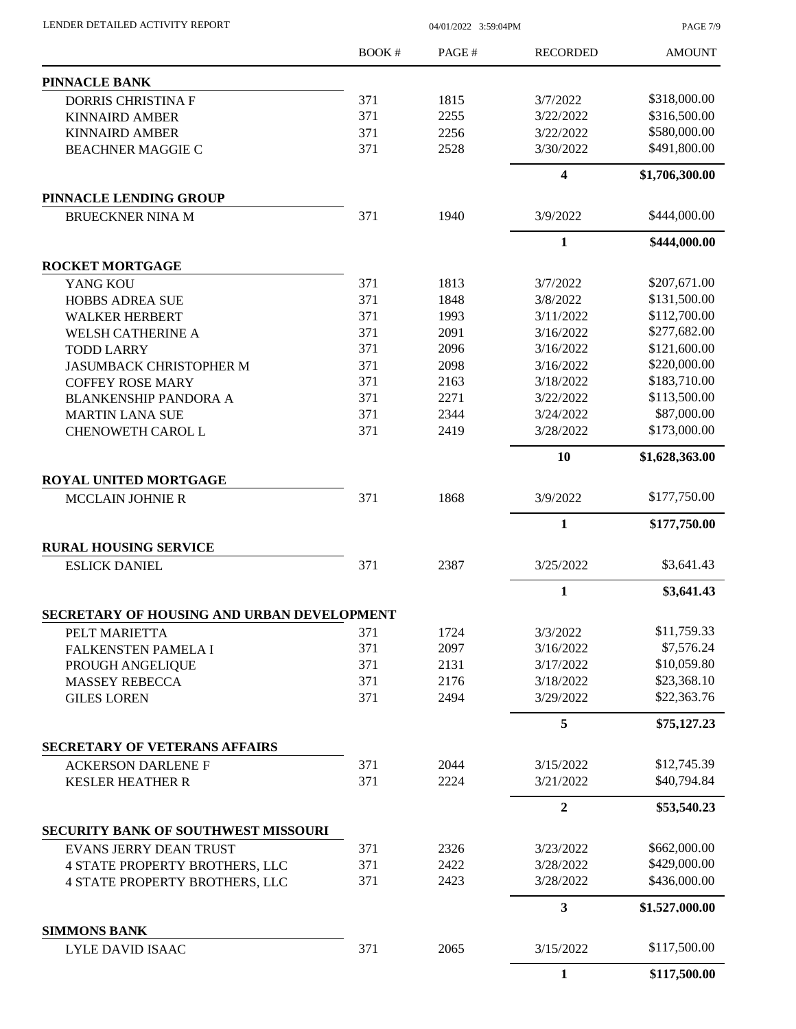| LENDER DETAILED ACTIVITY REPORT      |                                                                                                                                                                                                                                                                                                                                                                                                                                                                                                                                                                                                                                                                                                       |       |                                                                                                                                                                                                                                                                                                                                                                                                                                                                                                                                                                                                                                                                   | PAGE 7/9       |  |
|--------------------------------------|-------------------------------------------------------------------------------------------------------------------------------------------------------------------------------------------------------------------------------------------------------------------------------------------------------------------------------------------------------------------------------------------------------------------------------------------------------------------------------------------------------------------------------------------------------------------------------------------------------------------------------------------------------------------------------------------------------|-------|-------------------------------------------------------------------------------------------------------------------------------------------------------------------------------------------------------------------------------------------------------------------------------------------------------------------------------------------------------------------------------------------------------------------------------------------------------------------------------------------------------------------------------------------------------------------------------------------------------------------------------------------------------------------|----------------|--|
|                                      | BOOK #                                                                                                                                                                                                                                                                                                                                                                                                                                                                                                                                                                                                                                                                                                | PAGE# | <b>RECORDED</b>                                                                                                                                                                                                                                                                                                                                                                                                                                                                                                                                                                                                                                                   | <b>AMOUNT</b>  |  |
| PINNACLE BANK                        |                                                                                                                                                                                                                                                                                                                                                                                                                                                                                                                                                                                                                                                                                                       |       |                                                                                                                                                                                                                                                                                                                                                                                                                                                                                                                                                                                                                                                                   |                |  |
| <b>DORRIS CHRISTINA F</b>            | 371                                                                                                                                                                                                                                                                                                                                                                                                                                                                                                                                                                                                                                                                                                   | 1815  | 3/7/2022                                                                                                                                                                                                                                                                                                                                                                                                                                                                                                                                                                                                                                                          | \$318,000.00   |  |
| <b>KINNAIRD AMBER</b>                | 371                                                                                                                                                                                                                                                                                                                                                                                                                                                                                                                                                                                                                                                                                                   | 2255  | 3/22/2022                                                                                                                                                                                                                                                                                                                                                                                                                                                                                                                                                                                                                                                         | \$316,500.00   |  |
| <b>KINNAIRD AMBER</b>                | 371                                                                                                                                                                                                                                                                                                                                                                                                                                                                                                                                                                                                                                                                                                   | 2256  | 3/22/2022                                                                                                                                                                                                                                                                                                                                                                                                                                                                                                                                                                                                                                                         | \$580,000.00   |  |
| <b>BEACHNER MAGGIE C</b>             | 371                                                                                                                                                                                                                                                                                                                                                                                                                                                                                                                                                                                                                                                                                                   | 2528  | 04/01/2022 3:59:04PM<br>3/30/2022<br>$\overline{\mathbf{4}}$<br>1940<br>3/9/2022<br>$\mathbf{1}$<br>1813<br>3/7/2022<br>1848<br>3/8/2022<br>1993<br>3/11/2022<br>2091<br>3/16/2022<br>2096<br>3/16/2022<br>2098<br>3/16/2022<br>2163<br>3/18/2022<br>2271<br>3/22/2022<br>2344<br>3/24/2022<br>2419<br>3/28/2022<br>10<br>1868<br>3/9/2022<br>$\mathbf{1}$<br>2387<br>3/25/2022<br>$\mathbf{1}$<br>1724<br>3/3/2022<br>2097<br>3/16/2022<br>2131<br>3/17/2022<br>2176<br>3/18/2022<br>2494<br>3/29/2022<br>5<br>2044<br>3/15/2022<br>2224<br>3/21/2022<br>$\overline{2}$<br>3/23/2022<br>2326<br>2422<br>3/28/2022<br>2423<br>3/28/2022<br>3<br>2065<br>3/15/2022 | \$491,800.00   |  |
|                                      |                                                                                                                                                                                                                                                                                                                                                                                                                                                                                                                                                                                                                                                                                                       |       |                                                                                                                                                                                                                                                                                                                                                                                                                                                                                                                                                                                                                                                                   | \$1,706,300.00 |  |
| PINNACLE LENDING GROUP               | <b>BRUECKNER NINA M</b><br>371<br><b>ROCKET MORTGAGE</b><br>371<br>YANG KOU<br>371<br><b>HOBBS ADREA SUE</b><br>371<br><b>WALKER HERBERT</b><br>371<br><b>WELSH CATHERINE A</b><br>371<br><b>TODD LARRY</b><br>371<br><b>JASUMBACK CHRISTOPHER M</b><br>371<br><b>COFFEY ROSE MARY</b><br>371<br><b>BLANKENSHIP PANDORA A</b><br>371<br><b>MARTIN LANA SUE</b><br>371<br>CHENOWETH CAROL L<br>ROYAL UNITED MORTGAGE<br>371<br><b>MCCLAIN JOHNIE R</b><br><b>RURAL HOUSING SERVICE</b><br>371<br>SECRETARY OF HOUSING AND URBAN DEVELOPMENT<br>371<br>PELT MARIETTA<br>371<br>FALKENSTEN PAMELA I<br>371<br>PROUGH ANGELIQUE<br>371<br><b>MASSEY REBECCA</b><br>371<br>371<br>371<br>371<br>371<br>371 |       |                                                                                                                                                                                                                                                                                                                                                                                                                                                                                                                                                                                                                                                                   |                |  |
|                                      |                                                                                                                                                                                                                                                                                                                                                                                                                                                                                                                                                                                                                                                                                                       |       |                                                                                                                                                                                                                                                                                                                                                                                                                                                                                                                                                                                                                                                                   | \$444,000.00   |  |
|                                      |                                                                                                                                                                                                                                                                                                                                                                                                                                                                                                                                                                                                                                                                                                       |       |                                                                                                                                                                                                                                                                                                                                                                                                                                                                                                                                                                                                                                                                   | \$444,000.00   |  |
|                                      |                                                                                                                                                                                                                                                                                                                                                                                                                                                                                                                                                                                                                                                                                                       |       |                                                                                                                                                                                                                                                                                                                                                                                                                                                                                                                                                                                                                                                                   | \$207,671.00   |  |
|                                      |                                                                                                                                                                                                                                                                                                                                                                                                                                                                                                                                                                                                                                                                                                       |       |                                                                                                                                                                                                                                                                                                                                                                                                                                                                                                                                                                                                                                                                   | \$131,500.00   |  |
|                                      |                                                                                                                                                                                                                                                                                                                                                                                                                                                                                                                                                                                                                                                                                                       |       |                                                                                                                                                                                                                                                                                                                                                                                                                                                                                                                                                                                                                                                                   | \$112,700.00   |  |
|                                      |                                                                                                                                                                                                                                                                                                                                                                                                                                                                                                                                                                                                                                                                                                       |       |                                                                                                                                                                                                                                                                                                                                                                                                                                                                                                                                                                                                                                                                   | \$277,682.00   |  |
|                                      |                                                                                                                                                                                                                                                                                                                                                                                                                                                                                                                                                                                                                                                                                                       |       |                                                                                                                                                                                                                                                                                                                                                                                                                                                                                                                                                                                                                                                                   | \$121,600.00   |  |
|                                      |                                                                                                                                                                                                                                                                                                                                                                                                                                                                                                                                                                                                                                                                                                       |       |                                                                                                                                                                                                                                                                                                                                                                                                                                                                                                                                                                                                                                                                   | \$220,000.00   |  |
|                                      |                                                                                                                                                                                                                                                                                                                                                                                                                                                                                                                                                                                                                                                                                                       |       |                                                                                                                                                                                                                                                                                                                                                                                                                                                                                                                                                                                                                                                                   | \$183,710.00   |  |
|                                      |                                                                                                                                                                                                                                                                                                                                                                                                                                                                                                                                                                                                                                                                                                       |       |                                                                                                                                                                                                                                                                                                                                                                                                                                                                                                                                                                                                                                                                   | \$113,500.00   |  |
|                                      |                                                                                                                                                                                                                                                                                                                                                                                                                                                                                                                                                                                                                                                                                                       |       |                                                                                                                                                                                                                                                                                                                                                                                                                                                                                                                                                                                                                                                                   | \$87,000.00    |  |
|                                      | 371<br>LYLE DAVID ISAAC<br>$\mathbf{1}$                                                                                                                                                                                                                                                                                                                                                                                                                                                                                                                                                                                                                                                               |       | \$173,000.00                                                                                                                                                                                                                                                                                                                                                                                                                                                                                                                                                                                                                                                      |                |  |
|                                      |                                                                                                                                                                                                                                                                                                                                                                                                                                                                                                                                                                                                                                                                                                       |       |                                                                                                                                                                                                                                                                                                                                                                                                                                                                                                                                                                                                                                                                   |                |  |
|                                      |                                                                                                                                                                                                                                                                                                                                                                                                                                                                                                                                                                                                                                                                                                       |       |                                                                                                                                                                                                                                                                                                                                                                                                                                                                                                                                                                                                                                                                   | \$1,628,363.00 |  |
|                                      |                                                                                                                                                                                                                                                                                                                                                                                                                                                                                                                                                                                                                                                                                                       |       |                                                                                                                                                                                                                                                                                                                                                                                                                                                                                                                                                                                                                                                                   | \$177,750.00   |  |
|                                      |                                                                                                                                                                                                                                                                                                                                                                                                                                                                                                                                                                                                                                                                                                       |       |                                                                                                                                                                                                                                                                                                                                                                                                                                                                                                                                                                                                                                                                   |                |  |
|                                      |                                                                                                                                                                                                                                                                                                                                                                                                                                                                                                                                                                                                                                                                                                       |       |                                                                                                                                                                                                                                                                                                                                                                                                                                                                                                                                                                                                                                                                   | \$177,750.00   |  |
| <b>ESLICK DANIEL</b>                 |                                                                                                                                                                                                                                                                                                                                                                                                                                                                                                                                                                                                                                                                                                       |       |                                                                                                                                                                                                                                                                                                                                                                                                                                                                                                                                                                                                                                                                   | \$3,641.43     |  |
|                                      |                                                                                                                                                                                                                                                                                                                                                                                                                                                                                                                                                                                                                                                                                                       |       |                                                                                                                                                                                                                                                                                                                                                                                                                                                                                                                                                                                                                                                                   | \$3,641.43     |  |
|                                      |                                                                                                                                                                                                                                                                                                                                                                                                                                                                                                                                                                                                                                                                                                       |       |                                                                                                                                                                                                                                                                                                                                                                                                                                                                                                                                                                                                                                                                   |                |  |
|                                      |                                                                                                                                                                                                                                                                                                                                                                                                                                                                                                                                                                                                                                                                                                       |       |                                                                                                                                                                                                                                                                                                                                                                                                                                                                                                                                                                                                                                                                   | \$11,759.33    |  |
|                                      |                                                                                                                                                                                                                                                                                                                                                                                                                                                                                                                                                                                                                                                                                                       |       |                                                                                                                                                                                                                                                                                                                                                                                                                                                                                                                                                                                                                                                                   | \$7,576.24     |  |
|                                      |                                                                                                                                                                                                                                                                                                                                                                                                                                                                                                                                                                                                                                                                                                       |       |                                                                                                                                                                                                                                                                                                                                                                                                                                                                                                                                                                                                                                                                   | \$10,059.80    |  |
|                                      |                                                                                                                                                                                                                                                                                                                                                                                                                                                                                                                                                                                                                                                                                                       |       |                                                                                                                                                                                                                                                                                                                                                                                                                                                                                                                                                                                                                                                                   | \$23,368.10    |  |
| <b>GILES LOREN</b>                   |                                                                                                                                                                                                                                                                                                                                                                                                                                                                                                                                                                                                                                                                                                       |       |                                                                                                                                                                                                                                                                                                                                                                                                                                                                                                                                                                                                                                                                   | \$22,363.76    |  |
|                                      |                                                                                                                                                                                                                                                                                                                                                                                                                                                                                                                                                                                                                                                                                                       |       |                                                                                                                                                                                                                                                                                                                                                                                                                                                                                                                                                                                                                                                                   | \$75,127.23    |  |
| <b>SECRETARY OF VETERANS AFFAIRS</b> |                                                                                                                                                                                                                                                                                                                                                                                                                                                                                                                                                                                                                                                                                                       |       |                                                                                                                                                                                                                                                                                                                                                                                                                                                                                                                                                                                                                                                                   |                |  |
| <b>ACKERSON DARLENE F</b>            |                                                                                                                                                                                                                                                                                                                                                                                                                                                                                                                                                                                                                                                                                                       |       |                                                                                                                                                                                                                                                                                                                                                                                                                                                                                                                                                                                                                                                                   | \$12,745.39    |  |
| <b>KESLER HEATHER R</b>              |                                                                                                                                                                                                                                                                                                                                                                                                                                                                                                                                                                                                                                                                                                       |       |                                                                                                                                                                                                                                                                                                                                                                                                                                                                                                                                                                                                                                                                   | \$40,794.84    |  |
|                                      |                                                                                                                                                                                                                                                                                                                                                                                                                                                                                                                                                                                                                                                                                                       |       |                                                                                                                                                                                                                                                                                                                                                                                                                                                                                                                                                                                                                                                                   | \$53,540.23    |  |
| SECURITY BANK OF SOUTHWEST MISSOURI  |                                                                                                                                                                                                                                                                                                                                                                                                                                                                                                                                                                                                                                                                                                       |       |                                                                                                                                                                                                                                                                                                                                                                                                                                                                                                                                                                                                                                                                   |                |  |
| <b>EVANS JERRY DEAN TRUST</b>        |                                                                                                                                                                                                                                                                                                                                                                                                                                                                                                                                                                                                                                                                                                       |       |                                                                                                                                                                                                                                                                                                                                                                                                                                                                                                                                                                                                                                                                   | \$662,000.00   |  |
| 4 STATE PROPERTY BROTHERS, LLC       |                                                                                                                                                                                                                                                                                                                                                                                                                                                                                                                                                                                                                                                                                                       |       |                                                                                                                                                                                                                                                                                                                                                                                                                                                                                                                                                                                                                                                                   | \$429,000.00   |  |
| 4 STATE PROPERTY BROTHERS, LLC       |                                                                                                                                                                                                                                                                                                                                                                                                                                                                                                                                                                                                                                                                                                       |       |                                                                                                                                                                                                                                                                                                                                                                                                                                                                                                                                                                                                                                                                   | \$436,000.00   |  |
|                                      |                                                                                                                                                                                                                                                                                                                                                                                                                                                                                                                                                                                                                                                                                                       |       |                                                                                                                                                                                                                                                                                                                                                                                                                                                                                                                                                                                                                                                                   | \$1,527,000.00 |  |
| <b>SIMMONS BANK</b>                  |                                                                                                                                                                                                                                                                                                                                                                                                                                                                                                                                                                                                                                                                                                       |       |                                                                                                                                                                                                                                                                                                                                                                                                                                                                                                                                                                                                                                                                   |                |  |
|                                      |                                                                                                                                                                                                                                                                                                                                                                                                                                                                                                                                                                                                                                                                                                       |       |                                                                                                                                                                                                                                                                                                                                                                                                                                                                                                                                                                                                                                                                   | \$117,500.00   |  |
|                                      |                                                                                                                                                                                                                                                                                                                                                                                                                                                                                                                                                                                                                                                                                                       |       |                                                                                                                                                                                                                                                                                                                                                                                                                                                                                                                                                                                                                                                                   | \$117,500.00   |  |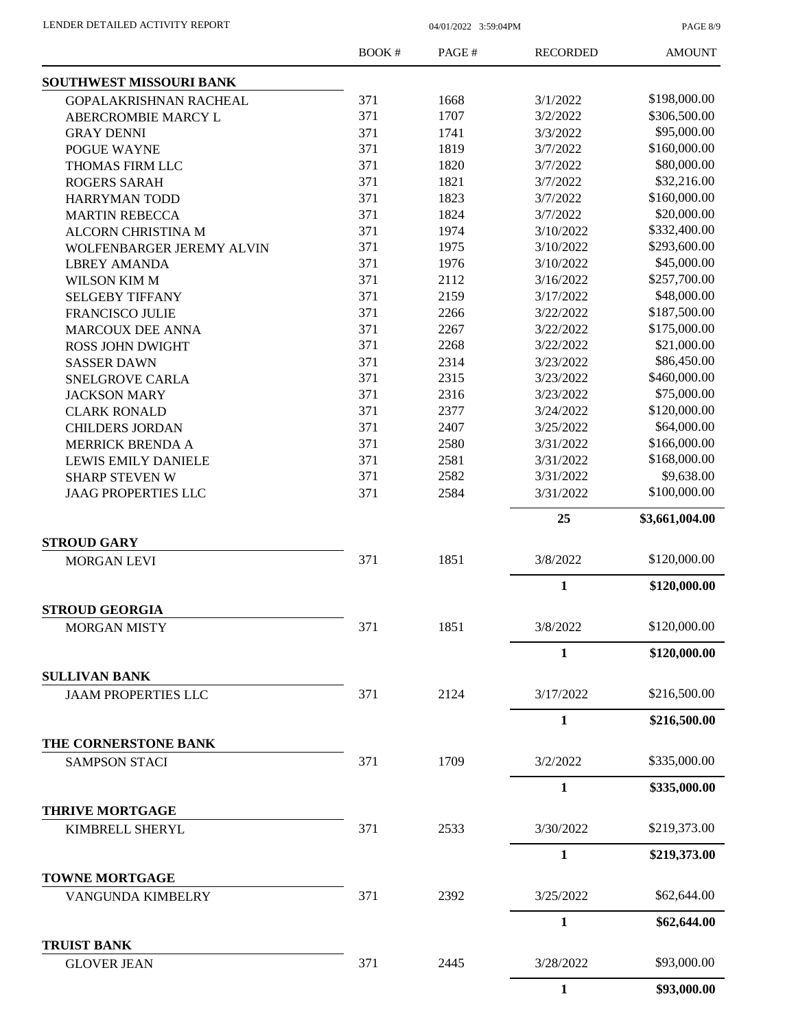PAGE 8/9

|                                          | BOOK# | PAGE# | <b>RECORDED</b> | <b>AMOUNT</b>  |
|------------------------------------------|-------|-------|-----------------|----------------|
| <b>SOUTHWEST MISSOURI BANK</b>           |       |       |                 |                |
| GOPALAKRISHNAN RACHEAL                   | 371   | 1668  | 3/1/2022        | \$198,000.00   |
| ABERCROMBIE MARCY L                      | 371   | 1707  | 3/2/2022        | \$306,500.00   |
| <b>GRAY DENNI</b>                        | 371   | 1741  | 3/3/2022        | \$95,000.00    |
| POGUE WAYNE                              | 371   | 1819  | 3/7/2022        | \$160,000.00   |
| THOMAS FIRM LLC                          | 371   | 1820  | 3/7/2022        | \$80,000.00    |
| <b>ROGERS SARAH</b>                      | 371   | 1821  | 3/7/2022        | \$32,216.00    |
| <b>HARRYMAN TODD</b>                     | 371   | 1823  | 3/7/2022        | \$160,000.00   |
| <b>MARTIN REBECCA</b>                    | 371   | 1824  | 3/7/2022        | \$20,000.00    |
| <b>ALCORN CHRISTINA M</b>                | 371   | 1974  | 3/10/2022       | \$332,400.00   |
| WOLFENBARGER JEREMY ALVIN                | 371   | 1975  | 3/10/2022       | \$293,600.00   |
| <b>LBREY AMANDA</b>                      | 371   | 1976  | 3/10/2022       | \$45,000.00    |
| <b>WILSON KIM M</b>                      | 371   | 2112  | 3/16/2022       | \$257,700.00   |
| <b>SELGEBY TIFFANY</b>                   | 371   | 2159  | 3/17/2022       | \$48,000.00    |
| <b>FRANCISCO JULIE</b>                   | 371   | 2266  | 3/22/2022       | \$187,500.00   |
| <b>MARCOUX DEE ANNA</b>                  | 371   | 2267  | 3/22/2022       | \$175,000.00   |
| <b>ROSS JOHN DWIGHT</b>                  | 371   | 2268  | 3/22/2022       | \$21,000.00    |
| <b>SASSER DAWN</b>                       | 371   | 2314  | 3/23/2022       | \$86,450.00    |
| <b>SNELGROVE CARLA</b>                   | 371   | 2315  | 3/23/2022       | \$460,000.00   |
| <b>JACKSON MARY</b>                      | 371   | 2316  | 3/23/2022       | \$75,000.00    |
|                                          | 371   | 2377  | 3/24/2022       | \$120,000.00   |
| <b>CLARK RONALD</b>                      | 371   |       |                 | \$64,000.00    |
| <b>CHILDERS JORDAN</b>                   |       | 2407  | 3/25/2022       |                |
| <b>MERRICK BRENDA A</b>                  | 371   | 2580  | 3/31/2022       | \$166,000.00   |
| <b>LEWIS EMILY DANIELE</b>               | 371   | 2581  | 3/31/2022       | \$168,000.00   |
| <b>SHARP STEVEN W</b>                    | 371   | 2582  | 3/31/2022       | \$9,638.00     |
| <b>JAAG PROPERTIES LLC</b>               | 371   | 2584  | 3/31/2022       | \$100,000.00   |
|                                          |       |       | 25              | \$3,661,004.00 |
| <b>STROUD GARY</b><br><b>MORGAN LEVI</b> | 371   | 1851  | 3/8/2022        | \$120,000.00   |
|                                          |       |       | 1               | \$120,000.00   |
| <b>STROUD GEORGIA</b>                    |       |       |                 |                |
| <b>MORGAN MISTY</b>                      | 371   | 1851  | 3/8/2022        | \$120,000.00   |
|                                          |       |       | $\mathbf{1}$    | \$120,000.00   |
| <b>SULLIVAN BANK</b>                     |       |       |                 |                |
| <b>JAAM PROPERTIES LLC</b>               | 371   | 2124  | 3/17/2022       | \$216,500.00   |
|                                          |       |       | $\mathbf{1}$    | \$216,500.00   |
| THE CORNERSTONE BANK                     |       |       |                 |                |
| <b>SAMPSON STACI</b>                     | 371   | 1709  | 3/2/2022        | \$335,000.00   |
|                                          |       |       | $\mathbf{1}$    | \$335,000.00   |
| <b>THRIVE MORTGAGE</b>                   |       |       |                 |                |
| KIMBRELL SHERYL                          | 371   | 2533  | 3/30/2022       | \$219,373.00   |
|                                          |       |       | $\mathbf{1}$    | \$219,373.00   |
| <b>TOWNE MORTGAGE</b>                    |       |       |                 | \$62,644.00    |
| VANGUNDA KIMBELRY                        | 371   | 2392  | 3/25/2022       |                |
| <b>TRUIST BANK</b>                       |       |       | $\mathbf{1}$    | \$62,644.00    |
| <b>GLOVER JEAN</b>                       | 371   | 2445  | 3/28/2022       | \$93,000.00    |
|                                          |       |       | $\mathbf{1}$    | \$93,000.00    |